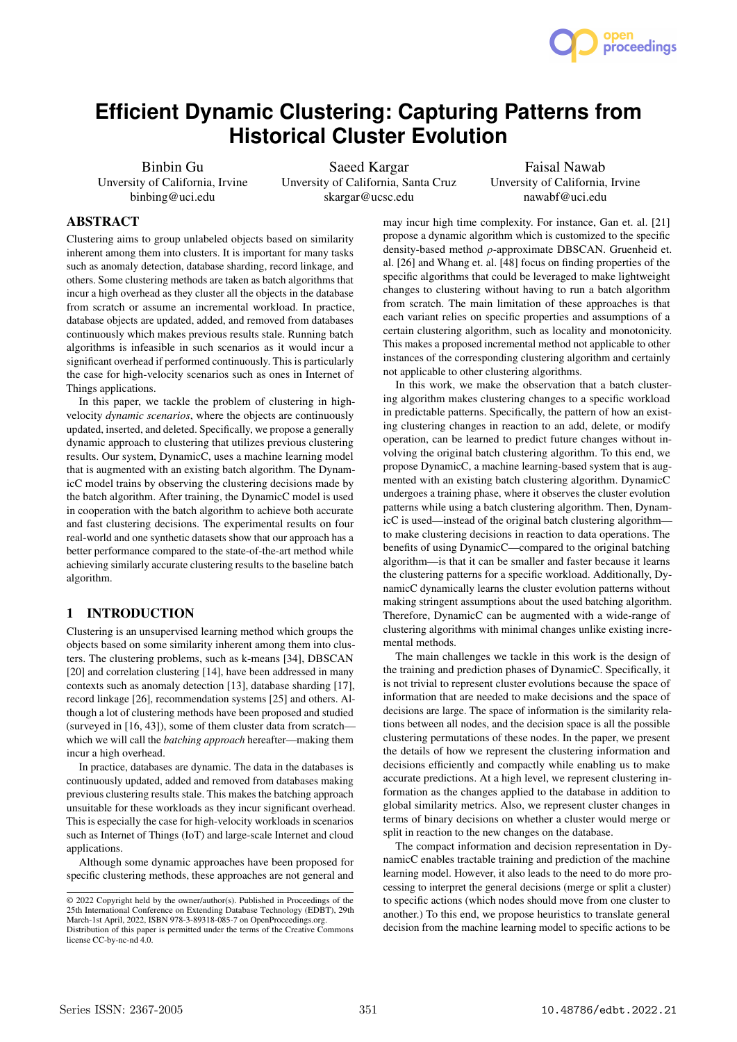

# **Efficient Dynamic Clustering: Capturing Patterns from Historical Cluster Evolution**

Binbin Gu Unversity of California, Irvine binbing@uci.edu

Saeed Kargar Unversity of California, Santa Cruz skargar@ucsc.edu

Faisal Nawab Unversity of California, Irvine nawabf@uci.edu

# ABSTRACT

Clustering aims to group unlabeled objects based on similarity inherent among them into clusters. It is important for many tasks such as anomaly detection, database sharding, record linkage, and others. Some clustering methods are taken as batch algorithms that incur a high overhead as they cluster all the objects in the database from scratch or assume an incremental workload. In practice, database objects are updated, added, and removed from databases continuously which makes previous results stale. Running batch algorithms is infeasible in such scenarios as it would incur a significant overhead if performed continuously. This is particularly the case for high-velocity scenarios such as ones in Internet of Things applications.

In this paper, we tackle the problem of clustering in highvelocity *dynamic scenarios*, where the objects are continuously updated, inserted, and deleted. Specifically, we propose a generally dynamic approach to clustering that utilizes previous clustering results. Our system, DynamicC, uses a machine learning model that is augmented with an existing batch algorithm. The DynamicC model trains by observing the clustering decisions made by the batch algorithm. After training, the DynamicC model is used in cooperation with the batch algorithm to achieve both accurate and fast clustering decisions. The experimental results on four real-world and one synthetic datasets show that our approach has a better performance compared to the state-of-the-art method while achieving similarly accurate clustering results to the baseline batch algorithm.

# 1 INTRODUCTION

Clustering is an unsupervised learning method which groups the objects based on some similarity inherent among them into clusters. The clustering problems, such as k-means [34], DBSCAN [20] and correlation clustering [14], have been addressed in many contexts such as anomaly detection [13], database sharding [17], record linkage [26], recommendation systems [25] and others. Although a lot of clustering methods have been proposed and studied (surveyed in [16, 43]), some of them cluster data from scratch which we will call the *batching approach* hereafter—making them incur a high overhead.

In practice, databases are dynamic. The data in the databases is continuously updated, added and removed from databases making previous clustering results stale. This makes the batching approach unsuitable for these workloads as they incur significant overhead. This is especially the case for high-velocity workloads in scenarios such as Internet of Things (IoT) and large-scale Internet and cloud applications.

Although some dynamic approaches have been proposed for specific clustering methods, these approaches are not general and

may incur high time complexity. For instance, Gan et. al. [21] propose a dynamic algorithm which is customized to the specific density-based method  $\rho$ -approximate DBSCAN. Gruenheid et. al. [26] and Whang et. al. [48] focus on finding properties of the specific algorithms that could be leveraged to make lightweight changes to clustering without having to run a batch algorithm from scratch. The main limitation of these approaches is that each variant relies on specific properties and assumptions of a certain clustering algorithm, such as locality and monotonicity. This makes a proposed incremental method not applicable to other instances of the corresponding clustering algorithm and certainly not applicable to other clustering algorithms.

In this work, we make the observation that a batch clustering algorithm makes clustering changes to a specific workload in predictable patterns. Specifically, the pattern of how an existing clustering changes in reaction to an add, delete, or modify operation, can be learned to predict future changes without involving the original batch clustering algorithm. To this end, we propose DynamicC, a machine learning-based system that is augmented with an existing batch clustering algorithm. DynamicC undergoes a training phase, where it observes the cluster evolution patterns while using a batch clustering algorithm. Then, DynamicC is used—instead of the original batch clustering algorithm to make clustering decisions in reaction to data operations. The benefits of using DynamicC—compared to the original batching algorithm—is that it can be smaller and faster because it learns the clustering patterns for a specific workload. Additionally, DynamicC dynamically learns the cluster evolution patterns without making stringent assumptions about the used batching algorithm. Therefore, DynamicC can be augmented with a wide-range of clustering algorithms with minimal changes unlike existing incremental methods.

The main challenges we tackle in this work is the design of the training and prediction phases of DynamicC. Specifically, it is not trivial to represent cluster evolutions because the space of information that are needed to make decisions and the space of decisions are large. The space of information is the similarity relations between all nodes, and the decision space is all the possible clustering permutations of these nodes. In the paper, we present the details of how we represent the clustering information and decisions efficiently and compactly while enabling us to make accurate predictions. At a high level, we represent clustering information as the changes applied to the database in addition to global similarity metrics. Also, we represent cluster changes in terms of binary decisions on whether a cluster would merge or split in reaction to the new changes on the database.

The compact information and decision representation in DynamicC enables tractable training and prediction of the machine learning model. However, it also leads to the need to do more processing to interpret the general decisions (merge or split a cluster) to specific actions (which nodes should move from one cluster to another.) To this end, we propose heuristics to translate general decision from the machine learning model to specific actions to be

<sup>©</sup> 2022 Copyright held by the owner/author(s). Published in Proceedings of the 25th International Conference on Extending Database Technology (EDBT), 29th March-1st April, 2022, ISBN 978-3-89318-085-7 on OpenProceedings.org. Distribution of this paper is permitted under the terms of the Creative Commons license CC-by-nc-nd 4.0.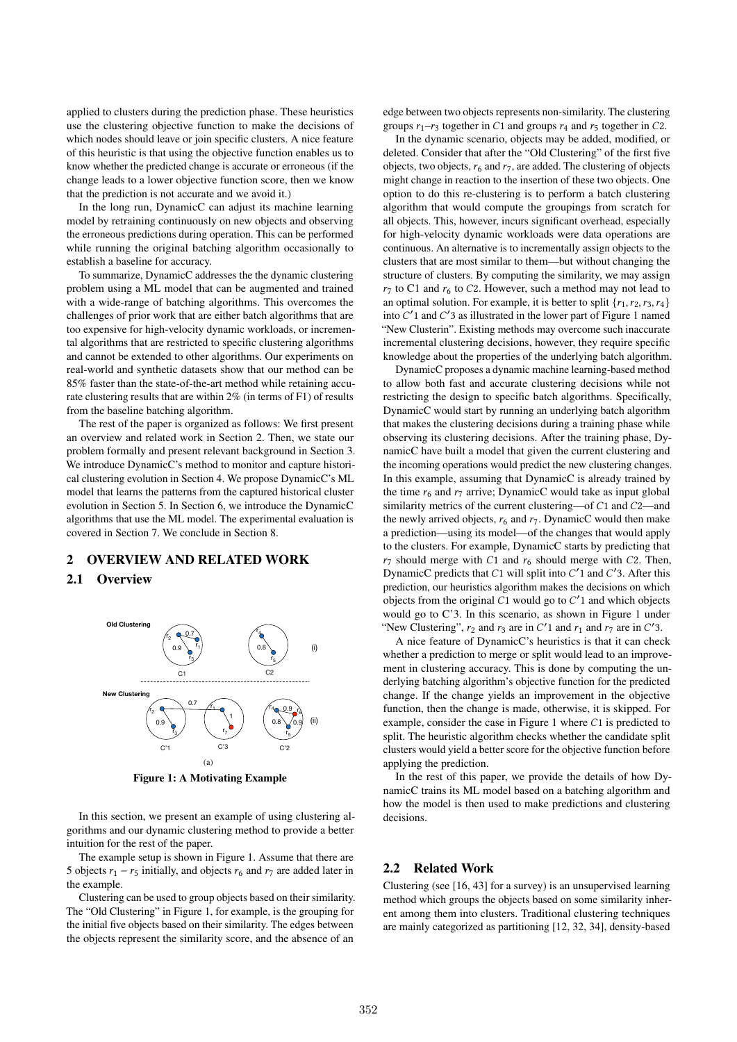applied to clusters during the prediction phase. These heuristics use the clustering objective function to make the decisions of which nodes should leave or join specific clusters. A nice feature of this heuristic is that using the objective function enables us to know whether the predicted change is accurate or erroneous (if the change leads to a lower objective function score, then we know that the prediction is not accurate and we avoid it.)

In the long run, DynamicC can adjust its machine learning model by retraining continuously on new objects and observing the erroneous predictions during operation. This can be performed while running the original batching algorithm occasionally to establish a baseline for accuracy.

To summarize, DynamicC addresses the the dynamic clustering problem using a ML model that can be augmented and trained with a wide-range of batching algorithms. This overcomes the challenges of prior work that are either batch algorithms that are too expensive for high-velocity dynamic workloads, or incremental algorithms that are restricted to specific clustering algorithms and cannot be extended to other algorithms. Our experiments on real-world and synthetic datasets show that our method can be 85% faster than the state-of-the-art method while retaining accurate clustering results that are within 2% (in terms of F1) of results from the baseline batching algorithm.

The rest of the paper is organized as follows: We first present an overview and related work in Section 2. Then, we state our problem formally and present relevant background in Section 3. We introduce DynamicC's method to monitor and capture historical clustering evolution in Section 4. We propose DynamicC's ML model that learns the patterns from the captured historical cluster evolution in Section 5. In Section 6, we introduce the DynamicC algorithms that use the ML model. The experimental evaluation is covered in Section 7. We conclude in Section 8.

# 2 OVERVIEW AND RELATED WORK

## 2.1 Overview



Figure 1: A Motivating Example

In this section, we present an example of using clustering algorithms and our dynamic clustering method to provide a better intuition for the rest of the paper.

The example setup is shown in Figure 1. Assume that there are 5 objects  $r_1 - r_5$  initially, and objects  $r_6$  and  $r_7$  are added later in the example.

Clustering can be used to group objects based on their similarity. The "Old Clustering" in Figure 1, for example, is the grouping for the initial five objects based on their similarity. The edges between the objects represent the similarity score, and the absence of an

edge between two objects represents non-similarity. The clustering groups  $r_1-r_3$  together in C1 and groups  $r_4$  and  $r_5$  together in C2.

In the dynamic scenario, objects may be added, modified, or deleted. Consider that after the "Old Clustering" of the first five objects, two objects,  $r_6$  and  $r_7$ , are added. The clustering of objects might change in reaction to the insertion of these two objects. One option to do this re-clustering is to perform a batch clustering algorithm that would compute the groupings from scratch for all objects. This, however, incurs significant overhead, especially for high-velocity dynamic workloads were data operations are continuous. An alternative is to incrementally assign objects to the clusters that are most similar to them—but without changing the structure of clusters. By computing the similarity, we may assign  $r_7$  to C1 and  $r_6$  to C2. However, such a method may not lead to an optimal solution. For example, it is better to split  $\{r_1, r_2, r_3, r_4\}$ into C'1 and C'3 as illustrated in the lower part of Figure 1 named "New Clusterin". Existing methods may overcome such inaccurate incremental clustering decisions, however, they require specific knowledge about the properties of the underlying batch algorithm.

DynamicC proposes a dynamic machine learning-based method to allow both fast and accurate clustering decisions while not restricting the design to specific batch algorithms. Specifically, DynamicC would start by running an underlying batch algorithm that makes the clustering decisions during a training phase while observing its clustering decisions. After the training phase, DynamicC have built a model that given the current clustering and the incoming operations would predict the new clustering changes. In this example, assuming that DynamicC is already trained by the time  $r_6$  and  $r_7$  arrive; DynamicC would take as input global similarity metrics of the current clustering—of C1 and C2—and the newly arrived objects,  $r_6$  and  $r_7$ . DynamicC would then make a prediction—using its model—of the changes that would apply to the clusters. For example, DynamicC starts by predicting that  $r_7$  should merge with C1 and  $r_6$  should merge with C2. Then, DynamicC predicts that  $C1$  will split into  $C'1$  and  $C'3$ . After this prediction, our heuristics algorithm makes the decisions on which objects from the original  $C1$  would go to  $C'1$  and which objects would go to C'3. In this scenario, as shown in Figure 1 under "New Clustering",  $r_2$  and  $r_3$  are in C'1 and  $r_1$  and  $r_7$  are in C'3.

A nice feature of DynamicC's heuristics is that it can check whether a prediction to merge or split would lead to an improvement in clustering accuracy. This is done by computing the underlying batching algorithm's objective function for the predicted change. If the change yields an improvement in the objective function, then the change is made, otherwise, it is skipped. For example, consider the case in Figure 1 where  $C1$  is predicted to split. The heuristic algorithm checks whether the candidate split clusters would yield a better score for the objective function before applying the prediction.

In the rest of this paper, we provide the details of how DynamicC trains its ML model based on a batching algorithm and how the model is then used to make predictions and clustering decisions.

#### 2.2 Related Work

Clustering (see [16, 43] for a survey) is an unsupervised learning method which groups the objects based on some similarity inherent among them into clusters. Traditional clustering techniques are mainly categorized as partitioning [12, 32, 34], density-based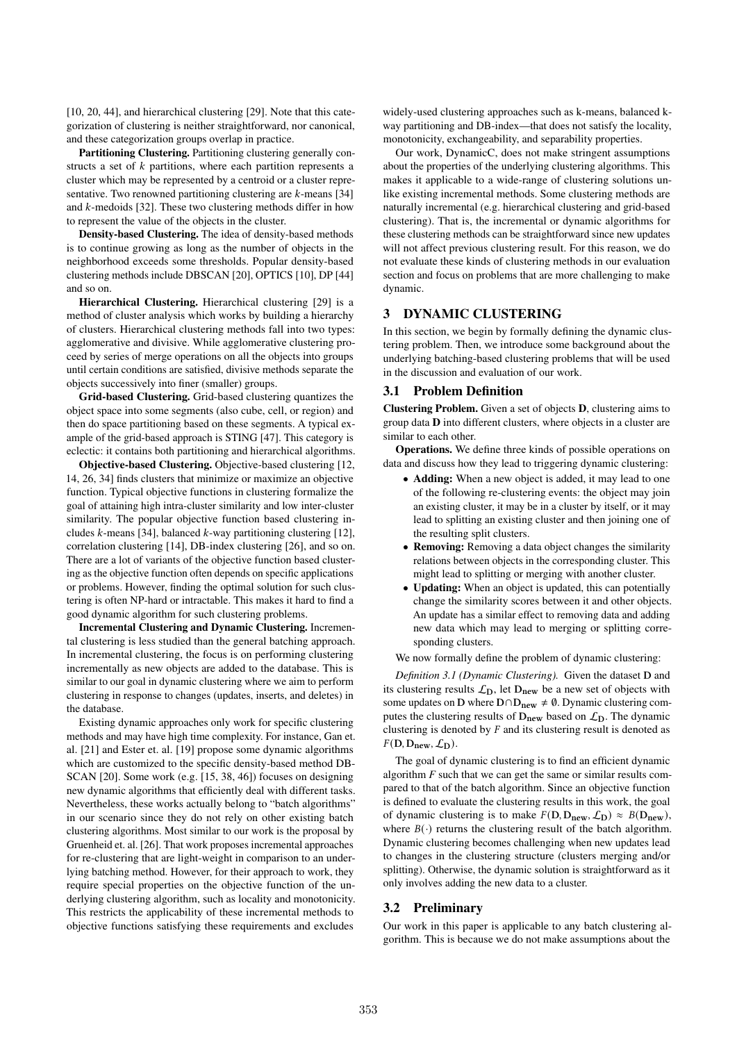[10, 20, 44], and hierarchical clustering [29]. Note that this categorization of clustering is neither straightforward, nor canonical, and these categorization groups overlap in practice.

Partitioning Clustering. Partitioning clustering generally constructs a set of  $k$  partitions, where each partition represents a cluster which may be represented by a centroid or a cluster representative. Two renowned partitioning clustering are  $k$ -means [34] and  $k$ -medoids [32]. These two clustering methods differ in how to represent the value of the objects in the cluster.

Density-based Clustering. The idea of density-based methods is to continue growing as long as the number of objects in the neighborhood exceeds some thresholds. Popular density-based clustering methods include DBSCAN [20], OPTICS [10], DP [44] and so on.

Hierarchical Clustering. Hierarchical clustering [29] is a method of cluster analysis which works by building a hierarchy of clusters. Hierarchical clustering methods fall into two types: agglomerative and divisive. While agglomerative clustering proceed by series of merge operations on all the objects into groups until certain conditions are satisfied, divisive methods separate the objects successively into finer (smaller) groups.

Grid-based Clustering. Grid-based clustering quantizes the object space into some segments (also cube, cell, or region) and then do space partitioning based on these segments. A typical example of the grid-based approach is STING [47]. This category is eclectic: it contains both partitioning and hierarchical algorithms.

Objective-based Clustering. Objective-based clustering [12, 14, 26, 34] finds clusters that minimize or maximize an objective function. Typical objective functions in clustering formalize the goal of attaining high intra-cluster similarity and low inter-cluster similarity. The popular objective function based clustering includes  $k$ -means [34], balanced  $k$ -way partitioning clustering [12], correlation clustering [14], DB-index clustering [26], and so on. There are a lot of variants of the objective function based clustering as the objective function often depends on specific applications or problems. However, finding the optimal solution for such clustering is often NP-hard or intractable. This makes it hard to find a good dynamic algorithm for such clustering problems.

Incremental Clustering and Dynamic Clustering. Incremental clustering is less studied than the general batching approach. In incremental clustering, the focus is on performing clustering incrementally as new objects are added to the database. This is similar to our goal in dynamic clustering where we aim to perform clustering in response to changes (updates, inserts, and deletes) in the database.

Existing dynamic approaches only work for specific clustering methods and may have high time complexity. For instance, Gan et. al. [21] and Ester et. al. [19] propose some dynamic algorithms which are customized to the specific density-based method DB-SCAN [20]. Some work (e.g. [15, 38, 46]) focuses on designing new dynamic algorithms that efficiently deal with different tasks. Nevertheless, these works actually belong to "batch algorithms" in our scenario since they do not rely on other existing batch clustering algorithms. Most similar to our work is the proposal by Gruenheid et. al. [26]. That work proposes incremental approaches for re-clustering that are light-weight in comparison to an underlying batching method. However, for their approach to work, they require special properties on the objective function of the underlying clustering algorithm, such as locality and monotonicity. This restricts the applicability of these incremental methods to objective functions satisfying these requirements and excludes

widely-used clustering approaches such as k-means, balanced kway partitioning and DB-index—that does not satisfy the locality, monotonicity, exchangeability, and separability properties.

Our work, DynamicC, does not make stringent assumptions about the properties of the underlying clustering algorithms. This makes it applicable to a wide-range of clustering solutions unlike existing incremental methods. Some clustering methods are naturally incremental (e.g. hierarchical clustering and grid-based clustering). That is, the incremental or dynamic algorithms for these clustering methods can be straightforward since new updates will not affect previous clustering result. For this reason, we do not evaluate these kinds of clustering methods in our evaluation section and focus on problems that are more challenging to make dynamic.

# 3 DYNAMIC CLUSTERING

In this section, we begin by formally defining the dynamic clustering problem. Then, we introduce some background about the underlying batching-based clustering problems that will be used in the discussion and evaluation of our work.

#### 3.1 Problem Definition

Clustering Problem. Given a set of objects D, clustering aims to group data D into different clusters, where objects in a cluster are similar to each other.

Operations. We define three kinds of possible operations on data and discuss how they lead to triggering dynamic clustering:

- Adding: When a new object is added, it may lead to one of the following re-clustering events: the object may join an existing cluster, it may be in a cluster by itself, or it may lead to splitting an existing cluster and then joining one of the resulting split clusters.
- Removing: Removing a data object changes the similarity relations between objects in the corresponding cluster. This might lead to splitting or merging with another cluster.
- Updating: When an object is updated, this can potentially change the similarity scores between it and other objects. An update has a similar effect to removing data and adding new data which may lead to merging or splitting corresponding clusters.

We now formally define the problem of dynamic clustering:

*Definition 3.1 (Dynamic Clustering).* Given the dataset D and its clustering results  $\mathcal{L}_{\text{D}}$ , let  $D_{\text{new}}$  be a new set of objects with some updates on D where  $D \cap D_{new} \neq \emptyset$ . Dynamic clustering computes the clustering results of  $D_{new}$  based on  $\mathcal{L}_D$ . The dynamic clustering is denoted by  $F$  and its clustering result is denoted as  $F(D, D_{\text{new}}, \mathcal{L}_D)$ .

The goal of dynamic clustering is to find an efficient dynamic algorithm *F* such that we can get the same or similar results compared to that of the batch algorithm. Since an objective function is defined to evaluate the clustering results in this work, the goal of dynamic clustering is to make  $F(D, D_{new}, \mathcal{L}_D) \approx B(D_{new}),$ where  $B(\cdot)$  returns the clustering result of the batch algorithm. Dynamic clustering becomes challenging when new updates lead to changes in the clustering structure (clusters merging and/or splitting). Otherwise, the dynamic solution is straightforward as it only involves adding the new data to a cluster.

#### 3.2 Preliminary

Our work in this paper is applicable to any batch clustering algorithm. This is because we do not make assumptions about the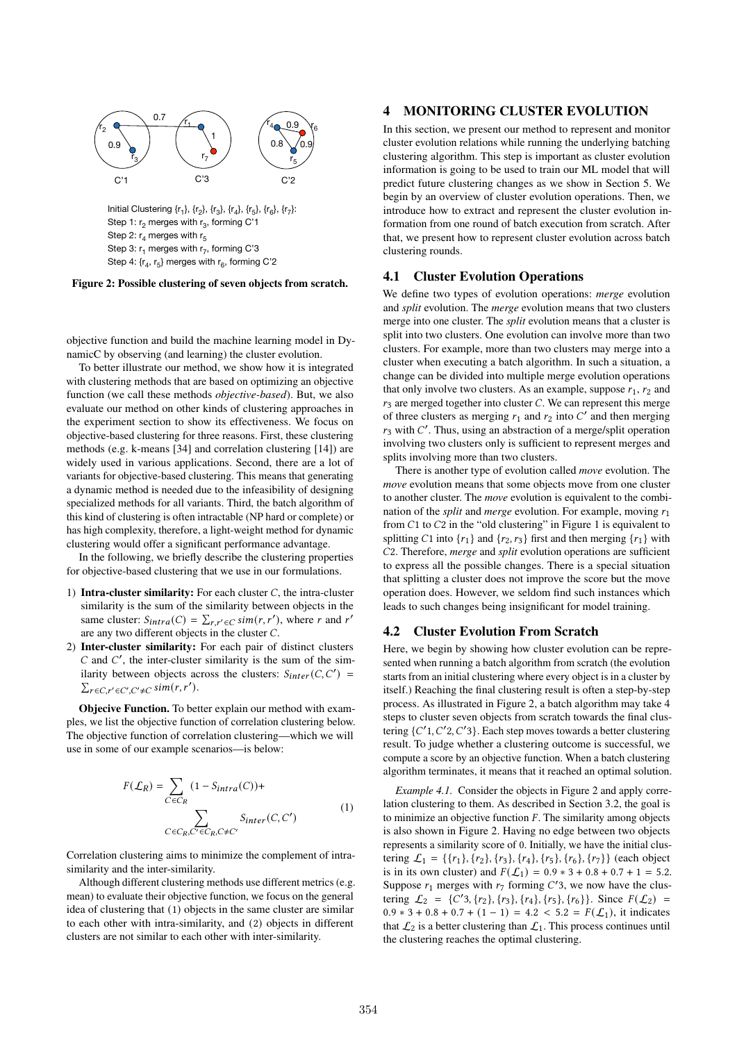

Figure 2: Possible clustering of seven objects from scratch.

objective function and build the machine learning model in DynamicC by observing (and learning) the cluster evolution.

To better illustrate our method, we show how it is integrated with clustering methods that are based on optimizing an objective function (we call these methods *objective-based*). But, we also evaluate our method on other kinds of clustering approaches in the experiment section to show its effectiveness. We focus on objective-based clustering for three reasons. First, these clustering methods (e.g. k-means [34] and correlation clustering [14]) are widely used in various applications. Second, there are a lot of variants for objective-based clustering. This means that generating a dynamic method is needed due to the infeasibility of designing specialized methods for all variants. Third, the batch algorithm of this kind of clustering is often intractable (NP hard or complete) or has high complexity, therefore, a light-weight method for dynamic clustering would offer a significant performance advantage.

In the following, we briefly describe the clustering properties for objective-based clustering that we use in our formulations.

- 1) Intra-cluster similarity: For each cluster  $C$ , the intra-cluster similarity is the sum of the similarity between objects in the same cluster:  $S_{intra}(C) = \sum_{r,r' \in C} sim(r,r')$ , where r and r' are any two different objects in the cluster  $C$ .
- 2) Inter-cluster similarity: For each pair of distinct clusters  $C$  and  $C'$ , the inter-cluster similarity is the sum of the similarity between objects across the clusters:  $S_{inter}(C, C')$  $\sum_{r \in C, r' \in C', C' \neq C} \operatorname{sim}(r, r').$

Objecive Function. To better explain our method with examples, we list the objective function of correlation clustering below. The objective function of correlation clustering—which we will use in some of our example scenarios—is below:

$$
F(\mathcal{L}_R) = \sum_{C \in C_R} (1 - S_{intra}(C)) +
$$
  

$$
\sum_{C \in C_R, C' \in C_R, C \neq C'} S_{inter}(C, C')
$$
 (1)

Correlation clustering aims to minimize the complement of intrasimilarity and the inter-similarity.

Although different clustering methods use different metrics (e.g. mean) to evaluate their objective function, we focus on the general idea of clustering that (1) objects in the same cluster are similar to each other with intra-similarity, and (2) objects in different clusters are not similar to each other with inter-similarity.

# 4 MONITORING CLUSTER EVOLUTION

In this section, we present our method to represent and monitor cluster evolution relations while running the underlying batching clustering algorithm. This step is important as cluster evolution information is going to be used to train our ML model that will predict future clustering changes as we show in Section 5. We begin by an overview of cluster evolution operations. Then, we introduce how to extract and represent the cluster evolution information from one round of batch execution from scratch. After that, we present how to represent cluster evolution across batch clustering rounds.

## 4.1 Cluster Evolution Operations

We define two types of evolution operations: *merge* evolution and *split* evolution. The *merge* evolution means that two clusters merge into one cluster. The *split* evolution means that a cluster is split into two clusters. One evolution can involve more than two clusters. For example, more than two clusters may merge into a cluster when executing a batch algorithm. In such a situation, a change can be divided into multiple merge evolution operations that only involve two clusters. As an example, suppose  $r_1$ ,  $r_2$  and  $r_3$  are merged together into cluster C. We can represent this merge of three clusters as merging  $r_1$  and  $r_2$  into  $C'$  and then merging  $r_3$  with  $C'$ . Thus, using an abstraction of a merge/split operation involving two clusters only is sufficient to represent merges and splits involving more than two clusters.

There is another type of evolution called *move* evolution. The *move* evolution means that some objects move from one cluster to another cluster. The *move* evolution is equivalent to the combination of the *split* and *merge* evolution. For example, moving  $r_1$ from  $C1$  to  $C2$  in the "old clustering" in Figure 1 is equivalent to splitting C1 into  ${r_1}$  and  ${r_2, r_3}$  first and then merging  ${r_1}$  with 2. Therefore, *merge* and *split* evolution operations are sufficient to express all the possible changes. There is a special situation that splitting a cluster does not improve the score but the move operation does. However, we seldom find such instances which leads to such changes being insignificant for model training.

#### 4.2 Cluster Evolution From Scratch

Here, we begin by showing how cluster evolution can be represented when running a batch algorithm from scratch (the evolution starts from an initial clustering where every object is in a cluster by itself.) Reaching the final clustering result is often a step-by-step process. As illustrated in Figure 2, a batch algorithm may take 4 steps to cluster seven objects from scratch towards the final clustering  $\{C'1, C'2, C'3\}$ . Each step moves towards a better clustering result. To judge whether a clustering outcome is successful, we compute a score by an objective function. When a batch clustering algorithm terminates, it means that it reached an optimal solution.

*Example 4.1.* Consider the objects in Figure 2 and apply correlation clustering to them. As described in Section 3.2, the goal is to minimize an objective function  $F$ . The similarity among objects is also shown in Figure 2. Having no edge between two objects represents a similarity score of 0. Initially, we have the initial clustering  $\mathcal{L}_1 = \{\{r_1\}, \{r_2\}, \{r_3\}, \{r_4\}, \{r_5\}, \{r_6\}, \{r_7\}\}\$  (each object is in its own cluster) and  $F(\mathcal{L}_1) = 0.9 * 3 + 0.8 + 0.7 + 1 = 5.2$ . Suppose  $r_1$  merges with  $r_7$  forming C'3, we now have the clustering  $\mathcal{L}_2 = \{C'3, \{r_2\}, \{r_3\}, \{r_4\}, \{r_5\}, \{r_6\}\}\$ . Since  $F(\mathcal{L}_2)$  $0.9 * 3 + 0.8 + 0.7 + (1 - 1) = 4.2 < 5.2 = F(\mathcal{L}_1)$ , it indicates that  $\mathcal{L}_2$  is a better clustering than  $\mathcal{L}_1$ . This process continues until the clustering reaches the optimal clustering.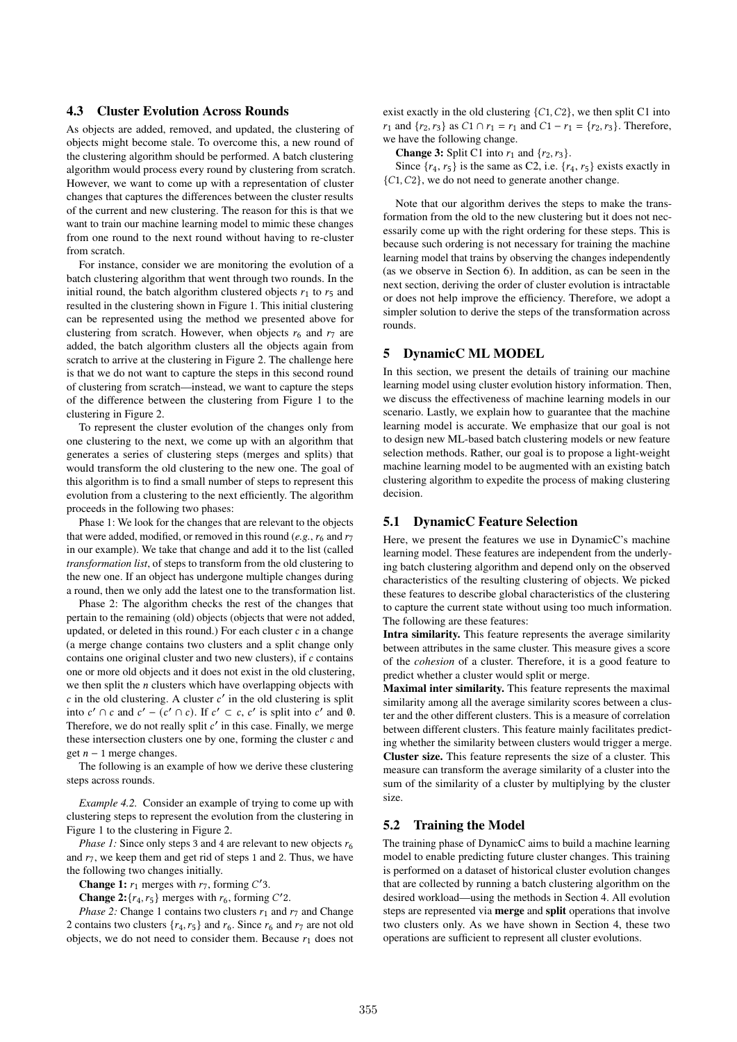#### 4.3 Cluster Evolution Across Rounds

As objects are added, removed, and updated, the clustering of objects might become stale. To overcome this, a new round of the clustering algorithm should be performed. A batch clustering algorithm would process every round by clustering from scratch. However, we want to come up with a representation of cluster changes that captures the differences between the cluster results of the current and new clustering. The reason for this is that we want to train our machine learning model to mimic these changes from one round to the next round without having to re-cluster from scratch.

For instance, consider we are monitoring the evolution of a batch clustering algorithm that went through two rounds. In the initial round, the batch algorithm clustered objects  $r_1$  to  $r_5$  and resulted in the clustering shown in Figure 1. This initial clustering can be represented using the method we presented above for clustering from scratch. However, when objects  $r_6$  and  $r_7$  are added, the batch algorithm clusters all the objects again from scratch to arrive at the clustering in Figure 2. The challenge here is that we do not want to capture the steps in this second round of clustering from scratch—instead, we want to capture the steps of the difference between the clustering from Figure 1 to the clustering in Figure 2.

To represent the cluster evolution of the changes only from one clustering to the next, we come up with an algorithm that generates a series of clustering steps (merges and splits) that would transform the old clustering to the new one. The goal of this algorithm is to find a small number of steps to represent this evolution from a clustering to the next efficiently. The algorithm proceeds in the following two phases:

Phase 1: We look for the changes that are relevant to the objects that were added, modified, or removed in this round  $(e.g., r_6$  and  $r_7$ in our example). We take that change and add it to the list (called *transformation list*, of steps to transform from the old clustering to the new one. If an object has undergone multiple changes during a round, then we only add the latest one to the transformation list.

Phase 2: The algorithm checks the rest of the changes that pertain to the remaining (old) objects (objects that were not added, updated, or deleted in this round.) For each cluster  $c$  in a change (a merge change contains two clusters and a split change only contains one original cluster and two new clusters), if  $c$  contains one or more old objects and it does not exist in the old clustering, we then split the  $n$  clusters which have overlapping objects with  $c$  in the old clustering. A cluster  $c'$  in the old clustering is split into  $c' \cap c$  and  $c' - (c' \cap c)$ . If  $c' \subset c$ , c' is split into c' and  $\emptyset$ . Therefore, we do not really split  $c'$  in this case. Finally, we merge these intersection clusters one by one, forming the cluster  $c$  and get  $n - 1$  merge changes.

The following is an example of how we derive these clustering steps across rounds.

*Example 4.2.* Consider an example of trying to come up with clustering steps to represent the evolution from the clustering in Figure 1 to the clustering in Figure 2.

*Phase 1:* Since only steps 3 and 4 are relevant to new objects  $r_6$ and  $r_7$ , we keep them and get rid of steps 1 and 2. Thus, we have the following two changes initially.

**Change 1:**  $r_1$  merges with  $r_7$ , forming C'3.

**Change 2:**  $\{r_4, r_5\}$  merges with  $r_6$ , forming C'2.

*Phase 2:* Change 1 contains two clusters  $r_1$  and  $r_7$  and Change 2 contains two clusters  $\{r_4, r_5\}$  and  $r_6$ . Since  $r_6$  and  $r_7$  are not old objects, we do not need to consider them. Because  $r_1$  does not exist exactly in the old clustering  $\{C_1, C_2\}$ , we then split C1 into  $r_1$  and  $\{r_2, r_3\}$  as  $C_1 \cap r_1 = r_1$  and  $C_1 - r_1 = \{r_2, r_3\}$ . Therefore, we have the following change.

**Change 3:** Split C1 into  $r_1$  and  $\{r_2, r_3\}$ .

Since  $\{r_4, r_5\}$  is the same as C2, i.e.  $\{r_4, r_5\}$  exists exactly in  ${C_1, C_2}$ , we do not need to generate another change.

Note that our algorithm derives the steps to make the transformation from the old to the new clustering but it does not necessarily come up with the right ordering for these steps. This is because such ordering is not necessary for training the machine learning model that trains by observing the changes independently (as we observe in Section 6). In addition, as can be seen in the next section, deriving the order of cluster evolution is intractable or does not help improve the efficiency. Therefore, we adopt a simpler solution to derive the steps of the transformation across rounds.

#### 5 DynamicC ML MODEL

In this section, we present the details of training our machine learning model using cluster evolution history information. Then, we discuss the effectiveness of machine learning models in our scenario. Lastly, we explain how to guarantee that the machine learning model is accurate. We emphasize that our goal is not to design new ML-based batch clustering models or new feature selection methods. Rather, our goal is to propose a light-weight machine learning model to be augmented with an existing batch clustering algorithm to expedite the process of making clustering decision.

# 5.1 DynamicC Feature Selection

Here, we present the features we use in DynamicC's machine learning model. These features are independent from the underlying batch clustering algorithm and depend only on the observed characteristics of the resulting clustering of objects. We picked these features to describe global characteristics of the clustering to capture the current state without using too much information. The following are these features:

Intra similarity. This feature represents the average similarity between attributes in the same cluster. This measure gives a score of the *cohesion* of a cluster. Therefore, it is a good feature to predict whether a cluster would split or merge.

Maximal inter similarity. This feature represents the maximal similarity among all the average similarity scores between a cluster and the other different clusters. This is a measure of correlation between different clusters. This feature mainly facilitates predicting whether the similarity between clusters would trigger a merge. Cluster size. This feature represents the size of a cluster. This measure can transform the average similarity of a cluster into the sum of the similarity of a cluster by multiplying by the cluster size.

## 5.2 Training the Model

The training phase of DynamicC aims to build a machine learning model to enable predicting future cluster changes. This training is performed on a dataset of historical cluster evolution changes that are collected by running a batch clustering algorithm on the desired workload—using the methods in Section 4. All evolution steps are represented via merge and split operations that involve two clusters only. As we have shown in Section 4, these two operations are sufficient to represent all cluster evolutions.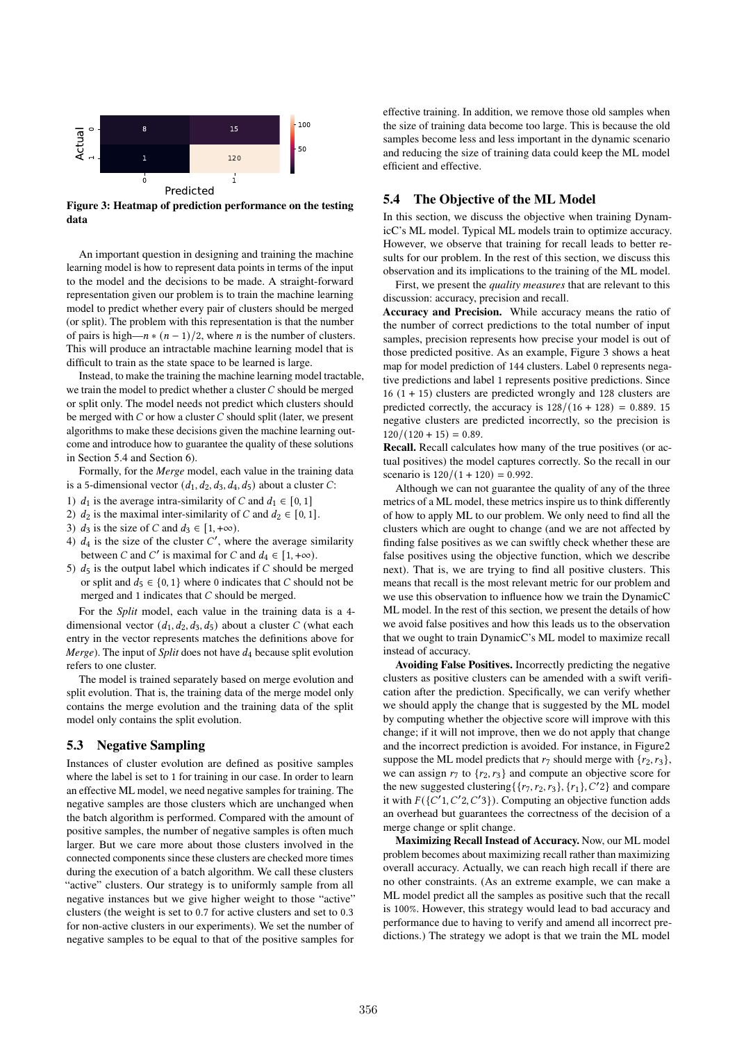

Figure 3: Heatmap of prediction performance on the testing data

An important question in designing and training the machine learning model is how to represent data points in terms of the input to the model and the decisions to be made. A straight-forward representation given our problem is to train the machine learning model to predict whether every pair of clusters should be merged (or split). The problem with this representation is that the number of pairs is high— $n * (n-1)/2$ , where *n* is the number of clusters. This will produce an intractable machine learning model that is difficult to train as the state space to be learned is large.

Instead, to make the training the machine learning model tractable, we train the model to predict whether a cluster  $C$  should be merged or split only. The model needs not predict which clusters should be merged with  $C$  or how a cluster  $C$  should split (later, we present algorithms to make these decisions given the machine learning outcome and introduce how to guarantee the quality of these solutions in Section 5.4 and Section 6).

Formally, for the *Merge* model, each value in the training data is a 5-dimensional vector  $(d_1, d_2, d_3, d_4, d_5)$  about a cluster C:

- 1)  $d_1$  is the average intra-similarity of C and  $d_1 \in [0, 1]$
- 2)  $d_2$  is the maximal inter-similarity of C and  $d_2 \in [0, 1]$ .
- 3)  $d_3$  is the size of C and  $d_3 \in [1, +\infty)$ .
- 4)  $d_4$  is the size of the cluster  $C'$ , where the average similarity between C and C' is maximal for C and  $d_4 \in [1, +\infty)$ .
- 5)  $d_5$  is the output label which indicates if C should be merged or split and  $d_5 \in \{0, 1\}$  where 0 indicates that C should not be merged and 1 indicates that  $C$  should be merged.

For the *Split* model, each value in the training data is a 4 dimensional vector  $(d_1, d_2, d_3, d_5)$  about a cluster C (what each entry in the vector represents matches the definitions above for *Merge*). The input of *Split* does not have  $d_4$  because split evolution refers to one cluster.

The model is trained separately based on merge evolution and split evolution. That is, the training data of the merge model only contains the merge evolution and the training data of the split model only contains the split evolution.

## 5.3 Negative Sampling

Instances of cluster evolution are defined as positive samples where the label is set to 1 for training in our case. In order to learn an effective ML model, we need negative samples for training. The negative samples are those clusters which are unchanged when the batch algorithm is performed. Compared with the amount of positive samples, the number of negative samples is often much larger. But we care more about those clusters involved in the connected components since these clusters are checked more times during the execution of a batch algorithm. We call these clusters "active" clusters. Our strategy is to uniformly sample from all negative instances but we give higher weight to those "active" clusters (the weight is set to 0.7 for active clusters and set to 0.3 for non-active clusters in our experiments). We set the number of negative samples to be equal to that of the positive samples for

effective training. In addition, we remove those old samples when the size of training data become too large. This is because the old samples become less and less important in the dynamic scenario and reducing the size of training data could keep the ML model efficient and effective.

## 5.4 The Objective of the ML Model

In this section, we discuss the objective when training DynamicC's ML model. Typical ML models train to optimize accuracy. However, we observe that training for recall leads to better results for our problem. In the rest of this section, we discuss this observation and its implications to the training of the ML model.

First, we present the *quality measures* that are relevant to this discussion: accuracy, precision and recall.

Accuracy and Precision. While accuracy means the ratio of the number of correct predictions to the total number of input samples, precision represents how precise your model is out of those predicted positive. As an example, Figure 3 shows a heat map for model prediction of 144 clusters. Label 0 represents negative predictions and label 1 represents positive predictions. Since 16 (1 + 15) clusters are predicted wrongly and 128 clusters are predicted correctly, the accuracy is  $128/(16 + 128) = 0.889.15$ negative clusters are predicted incorrectly, so the precision is  $120/(120 + 15) = 0.89$ .

Recall. Recall calculates how many of the true positives (or actual positives) the model captures correctly. So the recall in our scenario is  $120/(1 + 120) = 0.992$ .

Although we can not guarantee the quality of any of the three metrics of a ML model, these metrics inspire us to think differently of how to apply ML to our problem. We only need to find all the clusters which are ought to change (and we are not affected by finding false positives as we can swiftly check whether these are false positives using the objective function, which we describe next). That is, we are trying to find all positive clusters. This means that recall is the most relevant metric for our problem and we use this observation to influence how we train the DynamicC ML model. In the rest of this section, we present the details of how we avoid false positives and how this leads us to the observation that we ought to train DynamicC's ML model to maximize recall instead of accuracy.

Avoiding False Positives. Incorrectly predicting the negative clusters as positive clusters can be amended with a swift verification after the prediction. Specifically, we can verify whether we should apply the change that is suggested by the ML model by computing whether the objective score will improve with this change; if it will not improve, then we do not apply that change and the incorrect prediction is avoided. For instance, in Figure2 suppose the ML model predicts that  $r_7$  should merge with  $\{r_2, r_3\}$ , we can assign  $r_7$  to  $\{r_2, r_3\}$  and compute an objective score for the new suggested clustering { $\{r_7, r_2, r_3\}$ ,  $\{r_1\}$ ,  $C'2$ } and compare it with  $F({C\prime 1}, {C\prime 2}, {C\prime 3})$ . Computing an objective function adds an overhead but guarantees the correctness of the decision of a merge change or split change.

Maximizing Recall Instead of Accuracy. Now, our ML model problem becomes about maximizing recall rather than maximizing overall accuracy. Actually, we can reach high recall if there are no other constraints. (As an extreme example, we can make a ML model predict all the samples as positive such that the recall is 100%. However, this strategy would lead to bad accuracy and performance due to having to verify and amend all incorrect predictions.) The strategy we adopt is that we train the ML model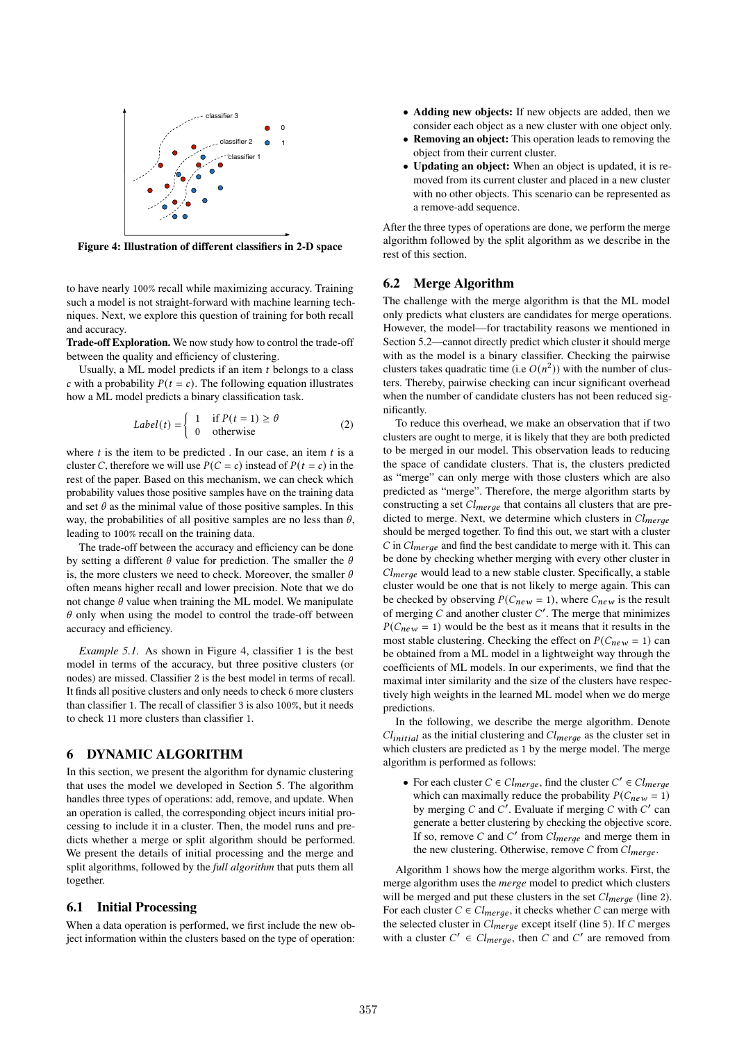

Figure 4: Illustration of different classifiers in 2-D space

to have nearly 100% recall while maximizing accuracy. Training such a model is not straight-forward with machine learning techniques. Next, we explore this question of training for both recall and accuracy.

Trade-off Exploration. We now study how to control the trade-off between the quality and efficiency of clustering.

Usually, a ML model predicts if an item  $t$  belongs to a class c with a probability  $P(t = c)$ . The following equation illustrates how a ML model predicts a binary classification task.

$$
Label(t) = \begin{cases} 1 & \text{if } P(t=1) \ge \theta \\ 0 & \text{otherwise} \end{cases}
$$
 (2)

where  $t$  is the item to be predicted. In our case, an item  $t$  is a cluster C, therefore we will use  $P(C = c)$  instead of  $P(t = c)$  in the rest of the paper. Based on this mechanism, we can check which probability values those positive samples have on the training data and set  $\theta$  as the minimal value of those positive samples. In this way, the probabilities of all positive samples are no less than  $\theta$ , leading to 100% recall on the training data.

The trade-off between the accuracy and efficiency can be done by setting a different  $\theta$  value for prediction. The smaller the  $\theta$ is, the more clusters we need to check. Moreover, the smaller  $\theta$ often means higher recall and lower precision. Note that we do not change  $\theta$  value when training the ML model. We manipulate  $\theta$  only when using the model to control the trade-off between accuracy and efficiency.

*Example 5.1.* As shown in Figure 4, classifier 1 is the best model in terms of the accuracy, but three positive clusters (or nodes) are missed. Classifier 2 is the best model in terms of recall. It finds all positive clusters and only needs to check 6 more clusters than classifier 1. The recall of classifier 3 is also 100%, but it needs to check 11 more clusters than classifier 1.

# 6 DYNAMIC ALGORITHM

In this section, we present the algorithm for dynamic clustering that uses the model we developed in Section 5. The algorithm handles three types of operations: add, remove, and update. When an operation is called, the corresponding object incurs initial processing to include it in a cluster. Then, the model runs and predicts whether a merge or split algorithm should be performed. We present the details of initial processing and the merge and split algorithms, followed by the *full algorithm* that puts them all together.

#### 6.1 Initial Processing

When a data operation is performed, we first include the new object information within the clusters based on the type of operation:

- Adding new objects: If new objects are added, then we consider each object as a new cluster with one object only.
- Removing an object: This operation leads to removing the object from their current cluster.
- Updating an object: When an object is updated, it is removed from its current cluster and placed in a new cluster with no other objects. This scenario can be represented as a remove-add sequence.

After the three types of operations are done, we perform the merge algorithm followed by the split algorithm as we describe in the rest of this section.

#### 6.2 Merge Algorithm

The challenge with the merge algorithm is that the ML model only predicts what clusters are candidates for merge operations. However, the model—for tractability reasons we mentioned in Section 5.2—cannot directly predict which cluster it should merge with as the model is a binary classifier. Checking the pairwise clusters takes quadratic time (i.e  $O(n^2)$ ) with the number of clusters. Thereby, pairwise checking can incur significant overhead when the number of candidate clusters has not been reduced significantly.

To reduce this overhead, we make an observation that if two clusters are ought to merge, it is likely that they are both predicted to be merged in our model. This observation leads to reducing the space of candidate clusters. That is, the clusters predicted as "merge" can only merge with those clusters which are also predicted as "merge". Therefore, the merge algorithm starts by constructing a set  $Cl_{merge}$  that contains all clusters that are predicted to merge. Next, we determine which clusters in  $Cl_{merge}$ should be merged together. To find this out, we start with a cluster  $C$  in  $Cl_{merge}$  and find the best candidate to merge with it. This can be done by checking whether merging with every other cluster in  $Cl_{merge}$  would lead to a new stable cluster. Specifically, a stable cluster would be one that is not likely to merge again. This can be checked by observing  $P(C_{new} = 1)$ , where  $C_{new}$  is the result of merging  $C$  and another cluster  $C'$ . The merge that minimizes  $P(C_{new} = 1)$  would be the best as it means that it results in the most stable clustering. Checking the effect on  $P(C_{new} = 1)$  can be obtained from a ML model in a lightweight way through the coefficients of ML models. In our experiments, we find that the maximal inter similarity and the size of the clusters have respectively high weights in the learned ML model when we do merge predictions.

In the following, we describe the merge algorithm. Denote  $Cl<sub>initial</sub>$  as the initial clustering and  $Cl<sub>merge</sub>$  as the cluster set in which clusters are predicted as 1 by the merge model. The merge algorithm is performed as follows:

• For each cluster  $C \in Cl_{merge}$ , find the cluster  $C' \in Cl_{merge}$ which can maximally reduce the probability  $P(C_{new} = 1)$ by merging  $C$  and  $C'$ . Evaluate if merging  $C$  with  $C'$  can generate a better clustering by checking the objective score. If so, remove C and C' from  $Cl_{merge}$  and merge them in the new clustering. Otherwise, remove  $C$  from  $Cl_{merge}$ .

Algorithm 1 shows how the merge algorithm works. First, the merge algorithm uses the *merge* model to predict which clusters will be merged and put these clusters in the set  $Cl_{merge}$  (line 2). For each cluster  $C \in Cl_{merge}$ , it checks whether C can merge with the selected cluster in  $Cl_{merge}$  except itself (line 5). If  $C$  merges with a cluster  $C' \in Cl_{merge}$ , then C and C' are removed from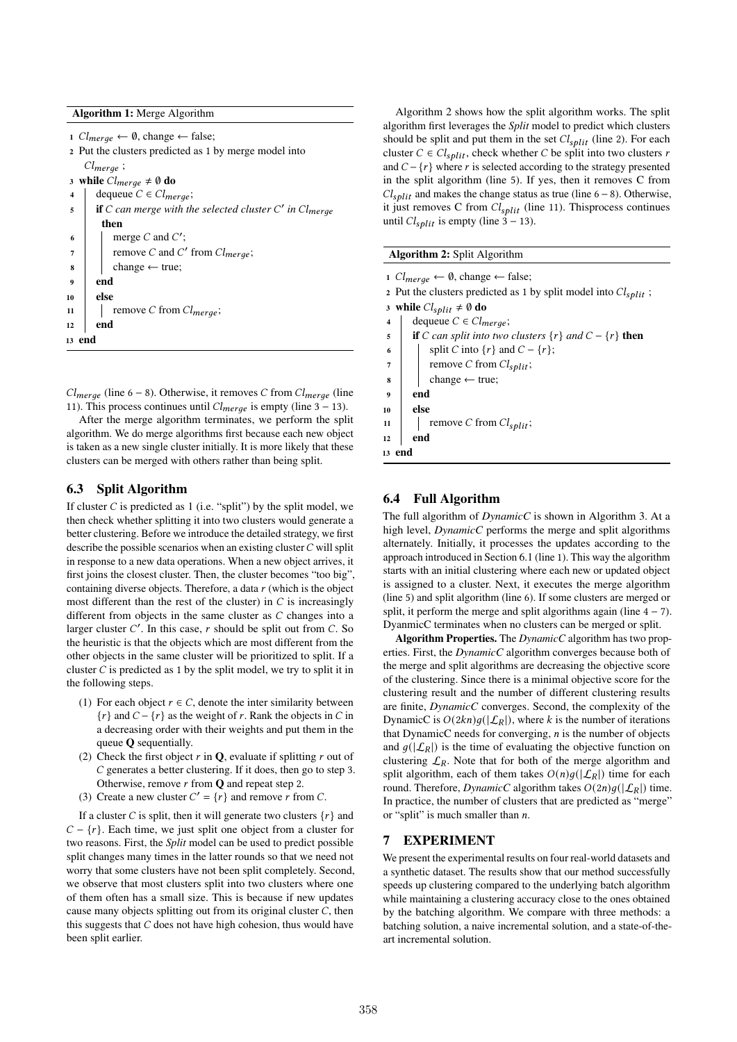# Algorithm 1: Merge Algorithm

1  $Cl_{merge}$  ← 0, change ← false;

<sup>2</sup> Put the clusters predicted as 1 by merge model into  $Cl_{merge}$ ;

3 while  $Cl_{merge} \neq \emptyset$  do

- 4 dequeue  $C \in Cl_{merge}$ ;
- $\mathbf{f} = \mathbf{f} \cdot \mathbf{f}$  if C can merge with the selected cluster C' in Cl<sub>merge</sub> then 6  $\parallel$  merge *C* and *C'*;

```
7 \mid \cdot \cdot \cdot \mid remove C and C' from Cl<sub>merge</sub>;
\left\vert s\right\vert change \leftarrow true;
```
- $9 \mid end$
- $10 \quad | \quad \text{else}$

```
11 | remove C from Cl_{merge};
```
 $12$  end

<sup>13</sup> end

 $Cl_{merge}$  (line 6 – 8). Otherwise, it removes C from  $Cl_{merge}$  (line 11). This process continues until  $Cl_{merge}$  is empty (line 3 – 13).

After the merge algorithm terminates, we perform the split algorithm. We do merge algorithms first because each new object is taken as a new single cluster initially. It is more likely that these clusters can be merged with others rather than being split.

# 6.3 Split Algorithm

If cluster  $C$  is predicted as 1 (i.e. "split") by the split model, we then check whether splitting it into two clusters would generate a better clustering. Before we introduce the detailed strategy, we first describe the possible scenarios when an existing cluster  $C$  will split in response to a new data operations. When a new object arrives, it first joins the closest cluster. Then, the cluster becomes "too big", containing diverse objects. Therefore, a data  $r$  (which is the object most different than the rest of the cluster) in  $C$  is increasingly different from objects in the same cluster as  $C$  changes into a larger cluster  $C'$ . In this case,  $r$  should be split out from  $C$ . So the heuristic is that the objects which are most different from the other objects in the same cluster will be prioritized to split. If a cluster  $C$  is predicted as 1 by the split model, we try to split it in the following steps.

- (1) For each object  $r \in C$ , denote the inter similarity between  ${r}$  and  $C - {r}$  as the weight of r. Rank the objects in C in a decreasing order with their weights and put them in the queue Q sequentially.
- (2) Check the first object  $r$  in  $\mathbf{Q}$ , evaluate if splitting  $r$  out of  $C$  generates a better clustering. If it does, then go to step 3. Otherwise, remove  $r$  from  $Q$  and repeat step 2.
- (3) Create a new cluster  $C' = \{r\}$  and remove r from C.

If a cluster C is split, then it will generate two clusters  $\{r\}$  and  $C - \{r\}$ . Each time, we just split one object from a cluster for two reasons. First, the *Split* model can be used to predict possible split changes many times in the latter rounds so that we need not worry that some clusters have not been split completely. Second, we observe that most clusters split into two clusters where one of them often has a small size. This is because if new updates cause many objects splitting out from its original cluster  $C$ , then this suggests that  $C$  does not have high cohesion, thus would have been split earlier.

Algorithm 2 shows how the split algorithm works. The split algorithm first leverages the *Split* model to predict which clusters should be split and put them in the set  $Cl<sub>split</sub>$  (line 2). For each cluster  $C \in Cl<sub>split</sub>$ , check whether C be split into two clusters r and  $C - \{r\}$  where r is selected according to the strategy presented in the split algorithm (line 5). If yes, then it removes C from  $Cl_{\text{split}}$  and makes the change status as true (line 6 – 8). Otherwise, it just removes C from  $Cl_{split}$  (line 11). Thisprocess continues until  $Cl<sub>split</sub>$  is empty (line 3 – 13).

#### Algorithm 2: Split Algorithm

1  $Cl_{merge}$  ← 0, change ← false; 2 Put the clusters predicted as 1 by split model into  $Cl_{split}$ ; 3 while  $Cl<sub>split</sub> \neq \emptyset$  do 4 dequeue  $C \in Cl_{merge}$ ; 5 **if**  $C$  *can split into two clusters*  $\{r\}$  *and*  $C - \{r\}$  **then** 6 split C into  $\{r\}$  and  $C - \{r\}$ ;  $7 \mid$  remove C from  $Cl_{split}$ ;  $\vert \vert$  change  $\leftarrow$  true; <sup>9</sup> end  $10$  else 11 | remove C from  $Cl_{split}$ ;  $12$  end <sup>13</sup> end

## 6.4 Full Algorithm

The full algorithm of *DynamicC* is shown in Algorithm 3. At a high level, *DynamicC* performs the merge and split algorithms alternately. Initially, it processes the updates according to the approach introduced in Section 6.1 (line 1). This way the algorithm starts with an initial clustering where each new or updated object is assigned to a cluster. Next, it executes the merge algorithm (line 5) and split algorithm (line 6). If some clusters are merged or split, it perform the merge and split algorithms again (line  $4 - 7$ ). DyanmicC terminates when no clusters can be merged or split.

Algorithm Properties. The *DynamicC* algorithm has two properties. First, the *DynamicC* algorithm converges because both of the merge and split algorithms are decreasing the objective score of the clustering. Since there is a minimal objective score for the clustering result and the number of different clustering results are finite, *DynamicC* converges. Second, the complexity of the DynamicC is  $O(2kn)g(|\mathcal{L}_R|)$ , where k is the number of iterations that DynamicC needs for converging,  $n$  is the number of objects and  $g(|\mathcal{L}_R|)$  is the time of evaluating the objective function on clustering  $\mathcal{L}_R$ . Note that for both of the merge algorithm and split algorithm, each of them takes  $O(n)q(|\mathcal{L}_R|)$  time for each round. Therefore, *DynamicC* algorithm takes  $O(2n)g(|\mathcal{L}_R|)$  time. In practice, the number of clusters that are predicted as "merge" or "split" is much smaller than  $n$ .

## 7 EXPERIMENT

We present the experimental results on four real-world datasets and a synthetic dataset. The results show that our method successfully speeds up clustering compared to the underlying batch algorithm while maintaining a clustering accuracy close to the ones obtained by the batching algorithm. We compare with three methods: a batching solution, a naive incremental solution, and a state-of-theart incremental solution.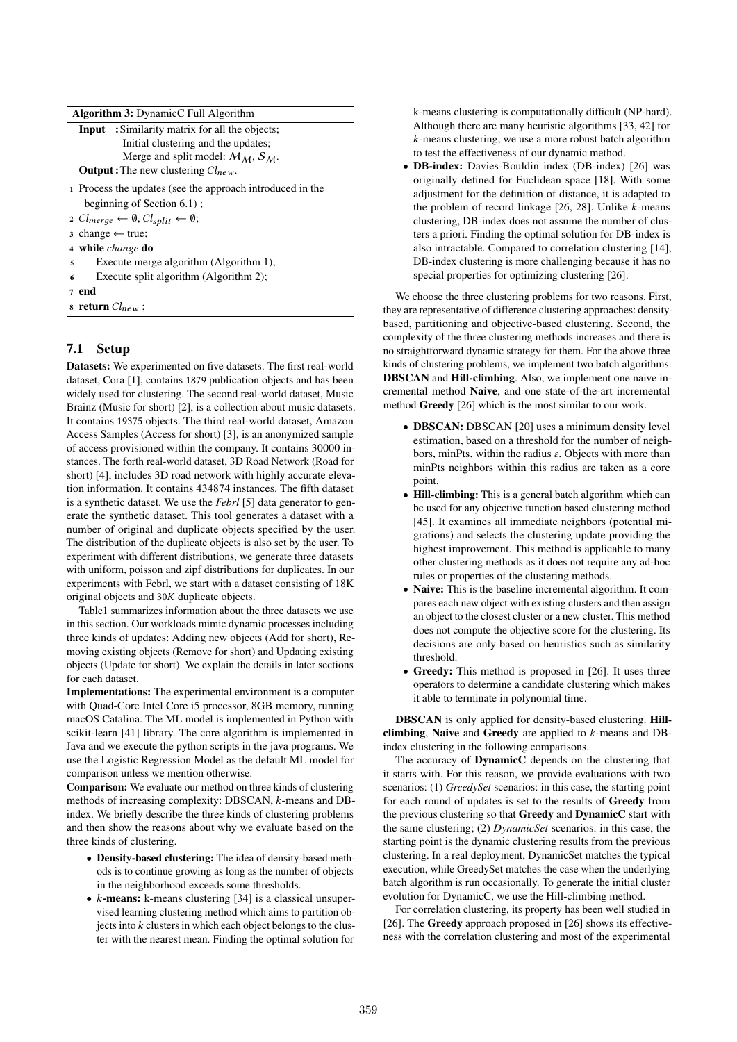|  |  | Algorithm 3: DynamicC Full Algorithm |
|--|--|--------------------------------------|
|--|--|--------------------------------------|

|                | <b>Input</b> : Similarity matrix for all the objects;                 |
|----------------|-----------------------------------------------------------------------|
|                | Initial clustering and the updates;                                   |
|                | Merge and split model: $M_M$ , $S_M$ .                                |
|                | <b>Output</b> : The new clustering $Cl_{new}$ .                       |
|                | 1 Process the updates (see the approach introduced in the             |
|                | beginning of Section $6.1$ );                                         |
|                | 2 $Cl_{merge} \leftarrow \emptyset, Cl_{split} \leftarrow \emptyset;$ |
|                | 3 change $\leftarrow$ true;                                           |
|                | 4 while <i>change</i> do                                              |
| 5 <sup>5</sup> | Execute merge algorithm (Algorithm 1);                                |
|                | Execute split algorithm (Algorithm 2);<br>$6 \mid$                    |
|                |                                                                       |

<sup>7</sup> end

8 return  $Cl_{new}$ ;

# 7.1 Setup

Datasets: We experimented on five datasets. The first real-world dataset, Cora [1], contains 1879 publication objects and has been widely used for clustering. The second real-world dataset, Music Brainz (Music for short) [2], is a collection about music datasets. It contains 19375 objects. The third real-world dataset, Amazon Access Samples (Access for short) [3], is an anonymized sample of access provisioned within the company. It contains 30000 instances. The forth real-world dataset, 3D Road Network (Road for short) [4], includes 3D road network with highly accurate elevation information. It contains 434874 instances. The fifth dataset is a synthetic dataset. We use the *Febrl* [5] data generator to generate the synthetic dataset. This tool generates a dataset with a number of original and duplicate objects specified by the user. The distribution of the duplicate objects is also set by the user. To experiment with different distributions, we generate three datasets with uniform, poisson and zipf distributions for duplicates. In our experiments with Febrl, we start with a dataset consisting of 18K original objects and  $30K$  duplicate objects.

Table1 summarizes information about the three datasets we use in this section. Our workloads mimic dynamic processes including three kinds of updates: Adding new objects (Add for short), Removing existing objects (Remove for short) and Updating existing objects (Update for short). We explain the details in later sections for each dataset.

Implementations: The experimental environment is a computer with Quad-Core Intel Core i5 processor, 8GB memory, running macOS Catalina. The ML model is implemented in Python with scikit-learn [41] library. The core algorithm is implemented in Java and we execute the python scripts in the java programs. We use the Logistic Regression Model as the default ML model for comparison unless we mention otherwise.

Comparison: We evaluate our method on three kinds of clustering methods of increasing complexity: DBSCAN,  $k$ -means and DBindex. We briefly describe the three kinds of clustering problems and then show the reasons about why we evaluate based on the three kinds of clustering.

- Density-based clustering: The idea of density-based methods is to continue growing as long as the number of objects in the neighborhood exceeds some thresholds.
- $k$ -means: k-means clustering [34] is a classical unsupervised learning clustering method which aims to partition objects into  $k$  clusters in which each object belongs to the cluster with the nearest mean. Finding the optimal solution for

k-means clustering is computationally difficult (NP-hard). Although there are many heuristic algorithms [33, 42] for  $k$ -means clustering, we use a more robust batch algorithm to test the effectiveness of our dynamic method.

• DB-index: Davies-Bouldin index (DB-index) [26] was originally defined for Euclidean space [18]. With some adjustment for the definition of distance, it is adapted to the problem of record linkage  $[26, 28]$ . Unlike  $k$ -means clustering, DB-index does not assume the number of clusters a priori. Finding the optimal solution for DB-index is also intractable. Compared to correlation clustering [14], DB-index clustering is more challenging because it has no special properties for optimizing clustering [26].

We choose the three clustering problems for two reasons. First, they are representative of difference clustering approaches: densitybased, partitioning and objective-based clustering. Second, the complexity of the three clustering methods increases and there is no straightforward dynamic strategy for them. For the above three kinds of clustering problems, we implement two batch algorithms: DBSCAN and Hill-climbing. Also, we implement one naive incremental method Naive, and one state-of-the-art incremental method Greedy [26] which is the most similar to our work.

- DBSCAN: DBSCAN [20] uses a minimum density level estimation, based on a threshold for the number of neighbors, minPts, within the radius  $\varepsilon$ . Objects with more than minPts neighbors within this radius are taken as a core point.
- Hill-climbing: This is a general batch algorithm which can be used for any objective function based clustering method [45]. It examines all immediate neighbors (potential migrations) and selects the clustering update providing the highest improvement. This method is applicable to many other clustering methods as it does not require any ad-hoc rules or properties of the clustering methods.
- Naive: This is the baseline incremental algorithm. It compares each new object with existing clusters and then assign an object to the closest cluster or a new cluster. This method does not compute the objective score for the clustering. Its decisions are only based on heuristics such as similarity threshold.
- Greedy: This method is proposed in [26]. It uses three operators to determine a candidate clustering which makes it able to terminate in polynomial time.

DBSCAN is only applied for density-based clustering. Hillclimbing, Naive and Greedy are applied to  $k$ -means and DBindex clustering in the following comparisons.

The accuracy of DynamicC depends on the clustering that it starts with. For this reason, we provide evaluations with two scenarios: (1) *GreedySet* scenarios: in this case, the starting point for each round of updates is set to the results of Greedy from the previous clustering so that Greedy and DynamicC start with the same clustering; (2) *DynamicSet* scenarios: in this case, the starting point is the dynamic clustering results from the previous clustering. In a real deployment, DynamicSet matches the typical execution, while GreedySet matches the case when the underlying batch algorithm is run occasionally. To generate the initial cluster evolution for DynamicC, we use the Hill-climbing method.

For correlation clustering, its property has been well studied in [26]. The Greedy approach proposed in [26] shows its effectiveness with the correlation clustering and most of the experimental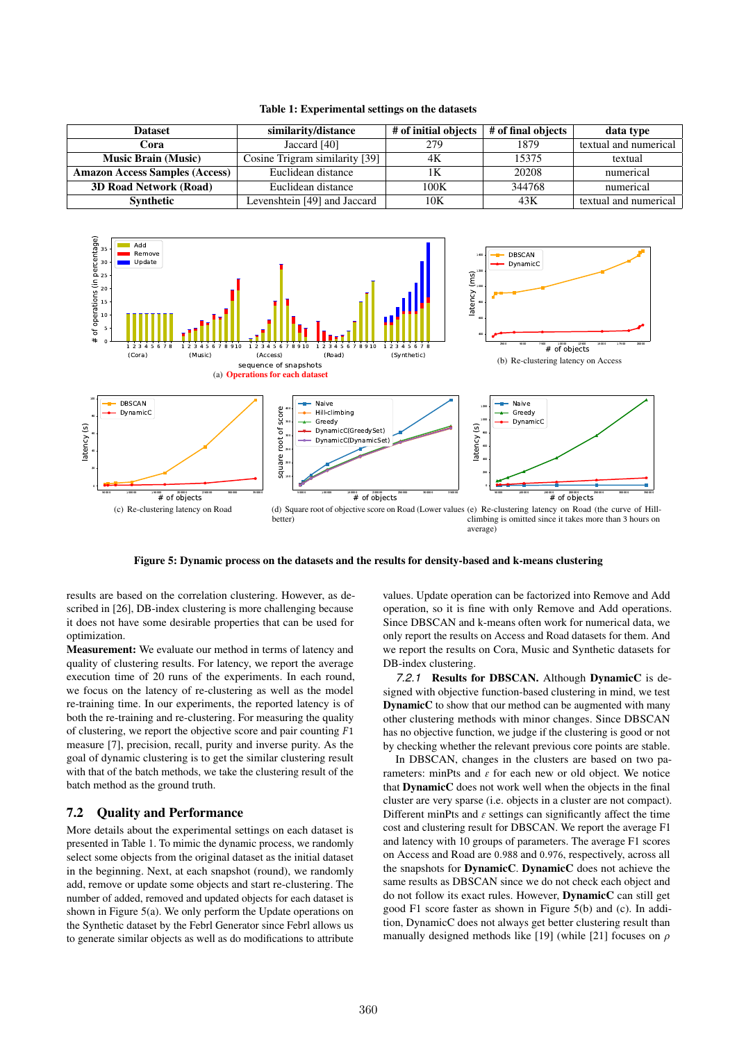| <b>Dataset</b>                                              | similarity/distance            | # of initial objects | # of final objects | data type             |
|-------------------------------------------------------------|--------------------------------|----------------------|--------------------|-----------------------|
| Cora                                                        | Jaccard [40]                   | 279                  | 1879               | textual and numerical |
| <b>Music Brain (Music)</b>                                  | Cosine Trigram similarity [39] | 4K                   | 15375              | textual               |
| <b>Amazon Access Samples (Access)</b><br>Euclidean distance |                                | 1Κ                   | 20208              | numerical             |
| <b>3D Road Network (Road)</b><br>Euclidean distance         |                                | 100K                 | 344768             | numerical             |
| <b>Synthetic</b>                                            | Levenshtein [49] and Jaccard   | 10K                  | 43K                | textual and numerical |

Table 1: Experimental settings on the datasets



average)

Figure 5: Dynamic process on the datasets and the results for density-based and k-means clustering

results are based on the correlation clustering. However, as described in [26], DB-index clustering is more challenging because it does not have some desirable properties that can be used for optimization.

Measurement: We evaluate our method in terms of latency and quality of clustering results. For latency, we report the average execution time of 20 runs of the experiments. In each round, we focus on the latency of re-clustering as well as the model re-training time. In our experiments, the reported latency is of both the re-training and re-clustering. For measuring the quality of clustering, we report the objective score and pair counting  $F1$ measure [7], precision, recall, purity and inverse purity. As the goal of dynamic clustering is to get the similar clustering result with that of the batch methods, we take the clustering result of the batch method as the ground truth.

# 7.2 Quality and Performance

Add

More details about the experimental settings on each dataset is presented in Table 1. To mimic the dynamic process, we randomly select some objects from the original dataset as the initial dataset in the beginning. Next, at each snapshot (round), we randomly add, remove or update some objects and start re-clustering. The number of added, removed and updated objects for each dataset is shown in Figure 5(a). We only perform the Update operations on the Synthetic dataset by the Febrl Generator since Febrl allows us to generate similar objects as well as do modifications to attribute

values. Update operation can be factorized into Remove and Add operation, so it is fine with only Remove and Add operations. Since DBSCAN and k-means often work for numerical data, we only report the results on Access and Road datasets for them. And we report the results on Cora, Music and Synthetic datasets for DB-index clustering.

*7.2.1* Results for DBSCAN. Although DynamicC is designed with objective function-based clustering in mind, we test **DynamicC** to show that our method can be augmented with many other clustering methods with minor changes. Since DBSCAN has no objective function, we judge if the clustering is good or not by checking whether the relevant previous core points are stable.

In DBSCAN, changes in the clusters are based on two parameters: minPts and  $\varepsilon$  for each new or old object. We notice that DynamicC does not work well when the objects in the final cluster are very sparse (i.e. objects in a cluster are not compact). Different minPts and  $\varepsilon$  settings can significantly affect the time cost and clustering result for DBSCAN. We report the average F1 and latency with 10 groups of parameters. The average F1 scores on Access and Road are 0.988 and 0.976, respectively, across all the snapshots for DynamicC. DynamicC does not achieve the same results as DBSCAN since we do not check each object and do not follow its exact rules. However, DynamicC can still get good F1 score faster as shown in Figure 5(b) and (c). In addition, DynamicC does not always get better clustering result than manually designed methods like [19] (while [21] focuses on  $\rho$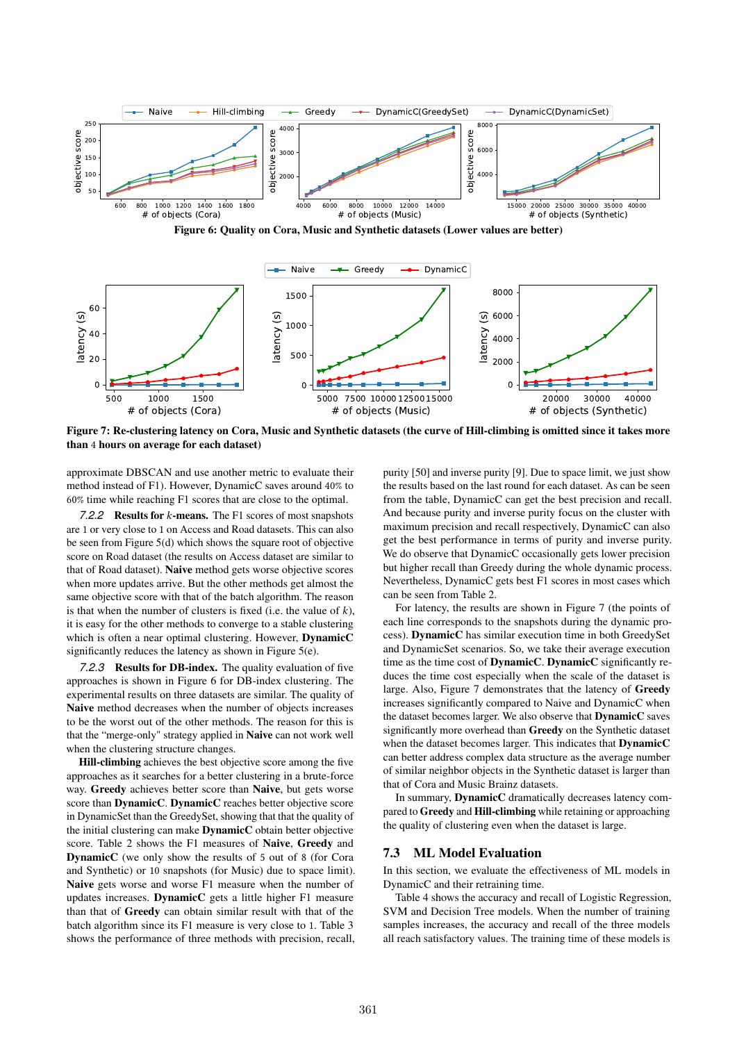

Figure 6: Quality on Cora, Music and Synthetic datasets (Lower values are better)



Figure 7: Re-clustering latency on Cora, Music and Synthetic datasets (the curve of Hill-climbing is omitted since it takes more than 4 hours on average for each dataset)

approximate DBSCAN and use another metric to evaluate their method instead of F1). However, DynamicC saves around 40% to 60% time while reaching F1 scores that are close to the optimal.

**7.2.2** Results for *k*-means. The F1 scores of most snapshots are 1 or very close to 1 on Access and Road datasets. This can also be seen from Figure 5(d) which shows the square root of objective score on Road dataset (the results on Access dataset are similar to that of Road dataset). Naive method gets worse objective scores when more updates arrive. But the other methods get almost the same objective score with that of the batch algorithm. The reason is that when the number of clusters is fixed (i.e. the value of  $k$ ), it is easy for the other methods to converge to a stable clustering which is often a near optimal clustering. However, **DynamicC** significantly reduces the latency as shown in Figure 5(e).

*7.2.3* Results for DB-index. The quality evaluation of five approaches is shown in Figure 6 for DB-index clustering. The experimental results on three datasets are similar. The quality of Naive method decreases when the number of objects increases to be the worst out of the other methods. The reason for this is that the "merge-only" strategy applied in Naive can not work well when the clustering structure changes.

Hill-climbing achieves the best objective score among the five approaches as it searches for a better clustering in a brute-force way. Greedy achieves better score than Naive, but gets worse score than DynamicC. DynamicC reaches better objective score in DynamicSet than the GreedySet, showing that that the quality of the initial clustering can make DynamicC obtain better objective score. Table 2 shows the F1 measures of Naive, Greedy and DynamicC (we only show the results of 5 out of 8 (for Cora and Synthetic) or 10 snapshots (for Music) due to space limit). Naive gets worse and worse F1 measure when the number of updates increases. DynamicC gets a little higher F1 measure than that of Greedy can obtain similar result with that of the batch algorithm since its F1 measure is very close to 1. Table 3 shows the performance of three methods with precision, recall,

purity [50] and inverse purity [9]. Due to space limit, we just show the results based on the last round for each dataset. As can be seen from the table, DynamicC can get the best precision and recall. And because purity and inverse purity focus on the cluster with maximum precision and recall respectively, DynamicC can also get the best performance in terms of purity and inverse purity. We do observe that DynamicC occasionally gets lower precision but higher recall than Greedy during the whole dynamic process. Nevertheless, DynamicC gets best F1 scores in most cases which can be seen from Table 2.

For latency, the results are shown in Figure 7 (the points of each line corresponds to the snapshots during the dynamic process). DynamicC has similar execution time in both GreedySet and DynamicSet scenarios. So, we take their average execution time as the time cost of **DynamicC**. DynamicC significantly reduces the time cost especially when the scale of the dataset is large. Also, Figure 7 demonstrates that the latency of Greedy increases significantly compared to Naive and DynamicC when the dataset becomes larger. We also observe that DynamicC saves significantly more overhead than Greedy on the Synthetic dataset when the dataset becomes larger. This indicates that **DynamicC** can better address complex data structure as the average number of similar neighbor objects in the Synthetic dataset is larger than that of Cora and Music Brainz datasets.

In summary, DynamicC dramatically decreases latency compared to Greedy and Hill-climbing while retaining or approaching the quality of clustering even when the dataset is large.

#### 7.3 ML Model Evaluation

In this section, we evaluate the effectiveness of ML models in DynamicC and their retraining time.

Table 4 shows the accuracy and recall of Logistic Regression, SVM and Decision Tree models. When the number of training samples increases, the accuracy and recall of the three models all reach satisfactory values. The training time of these models is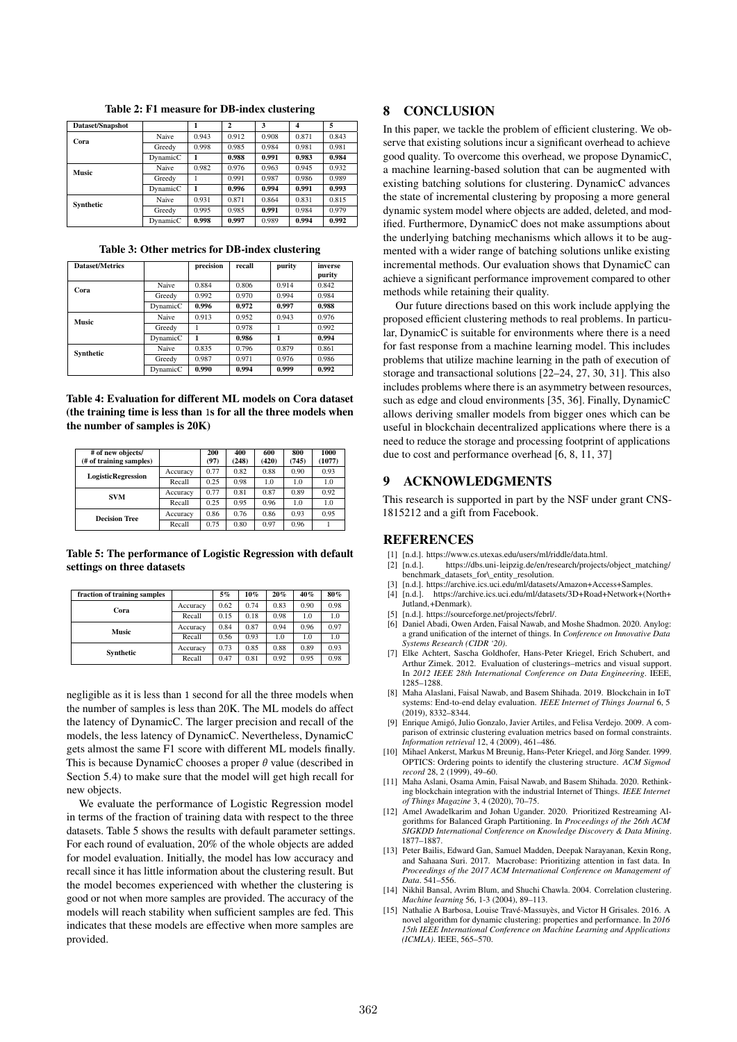| Dataset/Snapshot |          |       | $\overline{2}$ | 3     | 4     | 5     |
|------------------|----------|-------|----------------|-------|-------|-------|
| Cora             | Naive    | 0.943 | 0.912          | 0.908 | 0.871 | 0.843 |
|                  | Greedy   | 0.998 | 0.985          | 0.984 | 0.981 | 0.981 |
|                  | DynamicC |       | 0.988          | 0.991 | 0.983 | 0.984 |
| Music            | Naive    | 0.982 | 0.976          | 0.963 | 0.945 | 0.932 |
|                  | Greedy   |       | 0.991          | 0.987 | 0.986 | 0.989 |
|                  | DynamicC |       | 0.996          | 0.994 | 0.991 | 0.993 |
| Synthetic        | Naive    | 0.931 | 0.871          | 0.864 | 0.831 | 0.815 |
|                  | Greedy   | 0.995 | 0.985          | 0.991 | 0.984 | 0.979 |
|                  | DynamicC | 0.998 | 0.997          | 0.989 | 0.994 | 0.992 |

Table 2: F1 measure for DB-index clustering

| Table 3: Other metrics for DB-index clustering |  |  |
|------------------------------------------------|--|--|
|------------------------------------------------|--|--|

| <b>Dataset/Metrics</b> |          | precision | recall | purity | inverse<br>purity |
|------------------------|----------|-----------|--------|--------|-------------------|
| Cora                   | Naive    | 0.884     | 0.806  | 0.914  | 0.842             |
|                        | Greedy   | 0.992     | 0.970  | 0.994  | 0.984             |
|                        | DynamicC | 0.996     | 0.972  | 0.997  | 0.988             |
| <b>Music</b>           | Naive    | 0.913     | 0.952  | 0.943  | 0.976             |
|                        | Greedy   |           | 0.978  |        | 0.992             |
|                        | DynamicC | 1         | 0.986  | 1      | 0.994             |
| Synthetic              | Naive    | 0.835     | 0.796  | 0.879  | 0.861             |
|                        | Greedy   | 0.987     | 0.971  | 0.976  | 0.986             |
|                        | DynamicC | 0.990     | 0.994  | 0.999  | 0.992             |

Table 4: Evaluation for different ML models on Cora dataset (the training time is less than 1s for all the three models when the number of samples is 20K)

| # of new objects/<br>(# of training samples) |          | 200<br>(97) | 400<br>(248) | 600<br>(420) | 800<br>(745) | 1000<br>(1077) |
|----------------------------------------------|----------|-------------|--------------|--------------|--------------|----------------|
| <b>LogisticRegression</b>                    | Accuracy | 0.77        | 0.82         | 0.88         | 0.90         | 0.93           |
|                                              | Recall   | 0.25        | 0.98         | 1.0          | 1.0          | 1.0            |
| <b>SVM</b>                                   | Accuracy | 0.77        | 0.81         | 0.87         | 0.89         | 0.92           |
|                                              | Recall   | 0.25        | 0.95         | 0.96         | 1.0          | 1.0            |
| <b>Decision Tree</b>                         | Accuracy | 0.86        | 0.76         | 0.86         | 0.93         | 0.95           |
|                                              | Recall   | 0.75        | 0.80         | 0.97         | 0.96         |                |

Table 5: The performance of Logistic Regression with default settings on three datasets

| fraction of training samples |          | 5%   | 10%  | 20%  | 40%  | 80%  |
|------------------------------|----------|------|------|------|------|------|
| Cora                         | Accuracy | 0.62 | 0.74 | 0.83 | 0.90 | 0.98 |
|                              | Recall   | 0.15 | 0.18 | 0.98 | 1.0  | 1.0  |
| <b>Music</b>                 | Accuracy | 0.84 | 0.87 | 0.94 | 0.96 | 0.97 |
|                              | Recall   | 0.56 | 0.93 | 1.0  | 1.0  | 1.0  |
| Synthetic                    | Accuracy | 0.73 | 0.85 | 0.88 | 0.89 | 0.93 |
|                              | Recall   | 0.47 | 0.81 | 0.92 | 0.95 | 0.98 |

negligible as it is less than 1 second for all the three models when the number of samples is less than 20K. The ML models do affect the latency of DynamicC. The larger precision and recall of the models, the less latency of DynamicC. Nevertheless, DynamicC gets almost the same F1 score with different ML models finally. This is because DynamicC chooses a proper  $\theta$  value (described in Section 5.4) to make sure that the model will get high recall for new objects.

We evaluate the performance of Logistic Regression model in terms of the fraction of training data with respect to the three datasets. Table 5 shows the results with default parameter settings. For each round of evaluation, 20% of the whole objects are added for model evaluation. Initially, the model has low accuracy and recall since it has little information about the clustering result. But the model becomes experienced with whether the clustering is good or not when more samples are provided. The accuracy of the models will reach stability when sufficient samples are fed. This indicates that these models are effective when more samples are provided.

# 8 CONCLUSION

In this paper, we tackle the problem of efficient clustering. We observe that existing solutions incur a significant overhead to achieve good quality. To overcome this overhead, we propose DynamicC, a machine learning-based solution that can be augmented with existing batching solutions for clustering. DynamicC advances the state of incremental clustering by proposing a more general dynamic system model where objects are added, deleted, and modified. Furthermore, DynamicC does not make assumptions about the underlying batching mechanisms which allows it to be augmented with a wider range of batching solutions unlike existing incremental methods. Our evaluation shows that DynamicC can achieve a significant performance improvement compared to other methods while retaining their quality.

Our future directions based on this work include applying the proposed efficient clustering methods to real problems. In particular, DynamicC is suitable for environments where there is a need for fast response from a machine learning model. This includes problems that utilize machine learning in the path of execution of storage and transactional solutions [22–24, 27, 30, 31]. This also includes problems where there is an asymmetry between resources, such as edge and cloud environments [35, 36]. Finally, DynamicC allows deriving smaller models from bigger ones which can be useful in blockchain decentralized applications where there is a need to reduce the storage and processing footprint of applications due to cost and performance overhead [6, 8, 11, 37]

## 9 ACKNOWLEDGMENTS

This research is supported in part by the NSF under grant CNS-1815212 and a gift from Facebook.

# **REFERENCES**

- [1] [n.d.]. https://www.cs.utexas.edu/users/ml/riddle/data.html.
- [2] [n.d.]. https://dbs.uni-leipzig.de/en/research/projects/object\_matching/ benchmark\_datasets\_for\\_entity\_resolution.
- [n.d.]. https://archive.ics.uci.edu/ml/datasets/Amazon+Access+Samples.
- [4] [n.d.]. https://archive.ics.uci.edu/ml/datasets/3D+Road+Network+(North+ Jutland,+Denmark).
- [5] [n.d.]. https://sourceforge.net/projects/febrl/.
- [6] Daniel Abadi, Owen Arden, Faisal Nawab, and Moshe Shadmon. 2020. Anylog: a grand unification of the internet of things. In *Conference on Innovative Data Systems Research (CIDR '20)*.
- [7] Elke Achtert, Sascha Goldhofer, Hans-Peter Kriegel, Erich Schubert, and Arthur Zimek. 2012. Evaluation of clusterings–metrics and visual support. In *2012 IEEE 28th International Conference on Data Engineering*. IEEE, 1285–1288.
- [8] Maha Alaslani, Faisal Nawab, and Basem Shihada. 2019. Blockchain in IoT systems: End-to-end delay evaluation. *IEEE Internet of Things Journal* 6, 5  $(2019)$ , 8332–8344.
- [9] Enrique Amigó, Julio Gonzalo, Javier Artiles, and Felisa Verdejo. 2009. A comparison of extrinsic clustering evaluation metrics based on formal constraints. *Information retrieval* 12, 4 (2009), 461–486.
- [10] Mihael Ankerst, Markus M Breunig, Hans-Peter Kriegel, and Jörg Sander. 1999. OPTICS: Ordering points to identify the clustering structure. *ACM Sigmod record* 28, 2 (1999), 49–60.
- [11] Maha Aslani, Osama Amin, Faisal Nawab, and Basem Shihada. 2020. Rethinking blockchain integration with the industrial Internet of Things. *IEEE Internet of Things Magazine* 3, 4 (2020), 70–75.
- [12] Amel Awadelkarim and Johan Ugander. 2020. Prioritized Restreaming Algorithms for Balanced Graph Partitioning. In *Proceedings of the 26th ACM SIGKDD International Conference on Knowledge Discovery & Data Mining*. 1877–1887.
- [13] Peter Bailis, Edward Gan, Samuel Madden, Deepak Narayanan, Kexin Rong, and Sahaana Suri. 2017. Macrobase: Prioritizing attention in fast data. In *Proceedings of the 2017 ACM International Conference on Management of Data*. 541–556.
- [14] Nikhil Bansal, Avrim Blum, and Shuchi Chawla. 2004. Correlation clustering. *Machine learning* 56, 1-3 (2004), 89–113.
- [15] Nathalie A Barbosa, Louise Travé-Massuyès, and Victor H Grisales. 2016. A novel algorithm for dynamic clustering: properties and performance. In *2016 15th IEEE International Conference on Machine Learning and Applications (ICMLA)*. IEEE, 565–570.